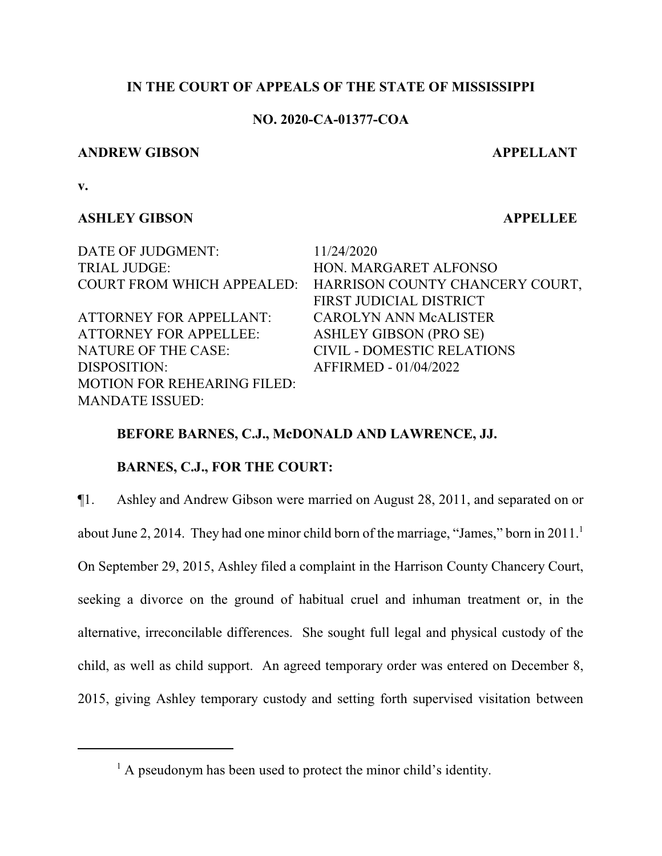# **IN THE COURT OF APPEALS OF THE STATE OF MISSISSIPPI**

# **NO. 2020-CA-01377-COA**

### **ANDREW GIBSON APPELLANT**

**v.**

# **ASHLEY GIBSON APPELLEE**

DATE OF JUDGMENT: 11/24/2020 TRIAL JUDGE: HON. MARGARET ALFONSO

ATTORNEY FOR APPELLANT: CAROLYN ANN McALISTER ATTORNEY FOR APPELLEE: ASHLEY GIBSON (PRO SE) NATURE OF THE CASE: CIVIL - DOMESTIC RELATIONS DISPOSITION: AFFIRMED - 01/04/2022 MOTION FOR REHEARING FILED: MANDATE ISSUED:

COURT FROM WHICH APPEALED: HARRISON COUNTY CHANCERY COURT, FIRST JUDICIAL DISTRICT

# **BEFORE BARNES, C.J., McDONALD AND LAWRENCE, JJ.**

# **BARNES, C.J., FOR THE COURT:**

¶1. Ashley and Andrew Gibson were married on August 28, 2011, and separated on or

about June 2, 2014. They had one minor child born of the marriage, "James," born in 2011.<sup>1</sup>

On September 29, 2015, Ashley filed a complaint in the Harrison County Chancery Court, seeking a divorce on the ground of habitual cruel and inhuman treatment or, in the alternative, irreconcilable differences. She sought full legal and physical custody of the child, as well as child support. An agreed temporary order was entered on December 8, 2015, giving Ashley temporary custody and setting forth supervised visitation between

<sup>&</sup>lt;sup>1</sup> A pseudonym has been used to protect the minor child's identity.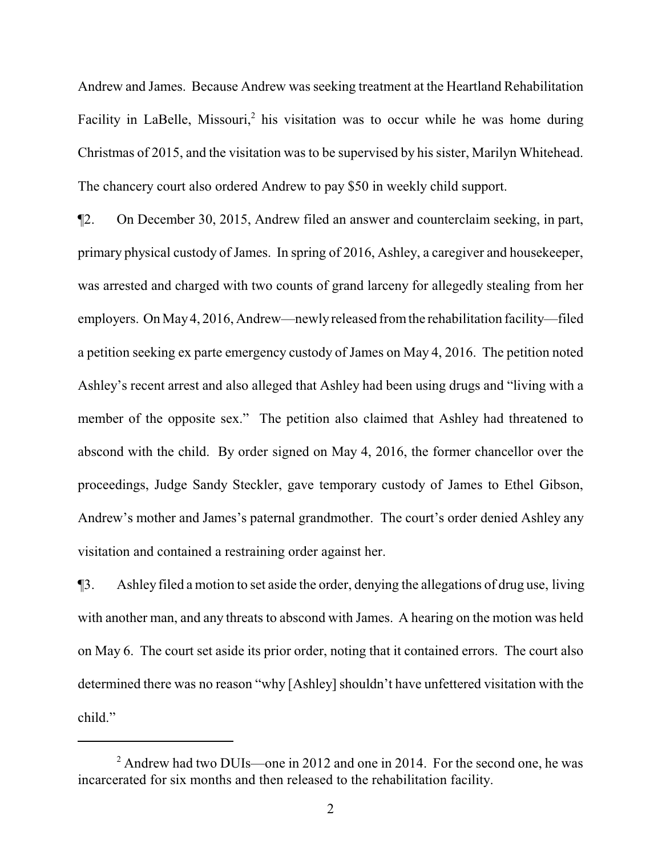Andrew and James. Because Andrew was seeking treatment at the Heartland Rehabilitation Facility in LaBelle, Missouri,<sup>2</sup> his visitation was to occur while he was home during Christmas of 2015, and the visitation was to be supervised by his sister, Marilyn Whitehead. The chancery court also ordered Andrew to pay \$50 in weekly child support.

¶2. On December 30, 2015, Andrew filed an answer and counterclaim seeking, in part, primary physical custody of James. In spring of 2016, Ashley, a caregiver and housekeeper, was arrested and charged with two counts of grand larceny for allegedly stealing from her employers. On May4, 2016, Andrew—newlyreleased fromthe rehabilitation facility—filed a petition seeking ex parte emergency custody of James on May 4, 2016. The petition noted Ashley's recent arrest and also alleged that Ashley had been using drugs and "living with a member of the opposite sex." The petition also claimed that Ashley had threatened to abscond with the child. By order signed on May 4, 2016, the former chancellor over the proceedings, Judge Sandy Steckler, gave temporary custody of James to Ethel Gibson, Andrew's mother and James's paternal grandmother. The court's order denied Ashley any visitation and contained a restraining order against her.

¶3. Ashley filed a motion to set aside the order, denying the allegations of drug use, living with another man, and any threats to abscond with James. A hearing on the motion was held on May 6. The court set aside its prior order, noting that it contained errors. The court also determined there was no reason "why [Ashley] shouldn't have unfettered visitation with the child."

 $2$  Andrew had two DUIs—one in 2012 and one in 2014. For the second one, he was incarcerated for six months and then released to the rehabilitation facility.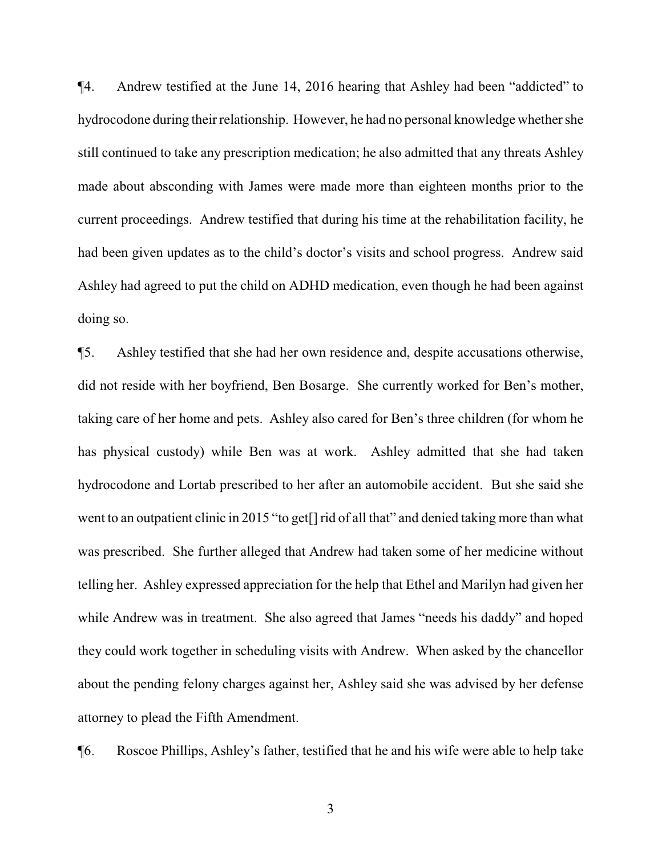¶4. Andrew testified at the June 14, 2016 hearing that Ashley had been "addicted" to hydrocodone during their relationship. However, he had no personal knowledge whether she still continued to take any prescription medication; he also admitted that any threats Ashley made about absconding with James were made more than eighteen months prior to the current proceedings. Andrew testified that during his time at the rehabilitation facility, he had been given updates as to the child's doctor's visits and school progress. Andrew said Ashley had agreed to put the child on ADHD medication, even though he had been against doing so.

¶5. Ashley testified that she had her own residence and, despite accusations otherwise, did not reside with her boyfriend, Ben Bosarge. She currently worked for Ben's mother, taking care of her home and pets. Ashley also cared for Ben's three children (for whom he has physical custody) while Ben was at work. Ashley admitted that she had taken hydrocodone and Lortab prescribed to her after an automobile accident. But she said she went to an outpatient clinic in 2015 "to get[] rid of all that" and denied taking more than what was prescribed. She further alleged that Andrew had taken some of her medicine without telling her. Ashley expressed appreciation for the help that Ethel and Marilyn had given her while Andrew was in treatment. She also agreed that James "needs his daddy" and hoped they could work together in scheduling visits with Andrew. When asked by the chancellor about the pending felony charges against her, Ashley said she was advised by her defense attorney to plead the Fifth Amendment.

¶6. Roscoe Phillips, Ashley's father, testified that he and his wife were able to help take

3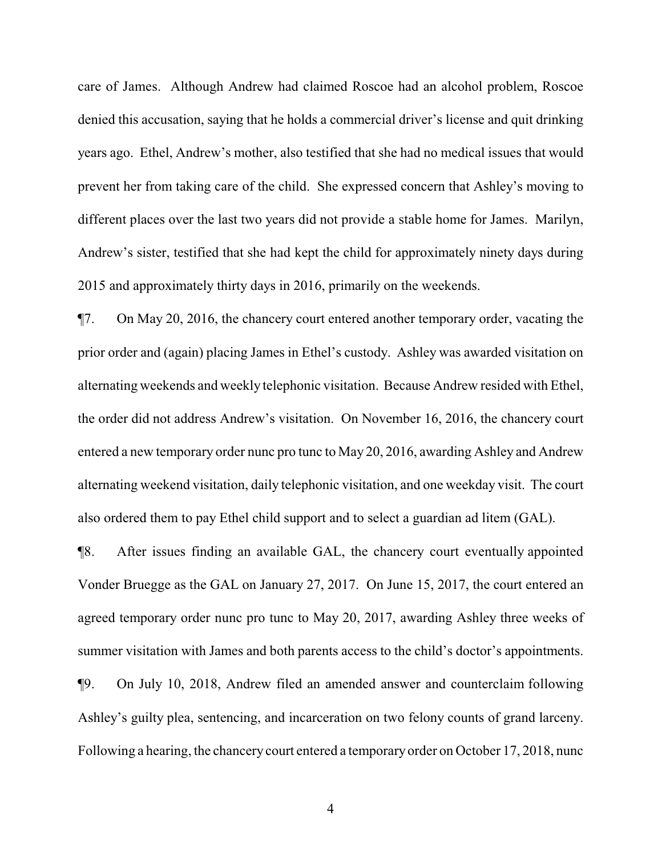care of James. Although Andrew had claimed Roscoe had an alcohol problem, Roscoe denied this accusation, saying that he holds a commercial driver's license and quit drinking years ago. Ethel, Andrew's mother, also testified that she had no medical issues that would prevent her from taking care of the child. She expressed concern that Ashley's moving to different places over the last two years did not provide a stable home for James. Marilyn, Andrew's sister, testified that she had kept the child for approximately ninety days during 2015 and approximately thirty days in 2016, primarily on the weekends.

¶7. On May 20, 2016, the chancery court entered another temporary order, vacating the prior order and (again) placing James in Ethel's custody. Ashley was awarded visitation on alternating weekends and weekly telephonic visitation. Because Andrew resided with Ethel, the order did not address Andrew's visitation. On November 16, 2016, the chancery court entered a new temporary order nunc pro tunc to May 20, 2016, awarding Ashley and Andrew alternating weekend visitation, daily telephonic visitation, and one weekday visit. The court also ordered them to pay Ethel child support and to select a guardian ad litem (GAL).

¶8. After issues finding an available GAL, the chancery court eventually appointed Vonder Bruegge as the GAL on January 27, 2017. On June 15, 2017, the court entered an agreed temporary order nunc pro tunc to May 20, 2017, awarding Ashley three weeks of summer visitation with James and both parents access to the child's doctor's appointments. ¶9. On July 10, 2018, Andrew filed an amended answer and counterclaim following Ashley's guilty plea, sentencing, and incarceration on two felony counts of grand larceny. Following a hearing, the chancery court entered a temporary order on October 17, 2018, nunc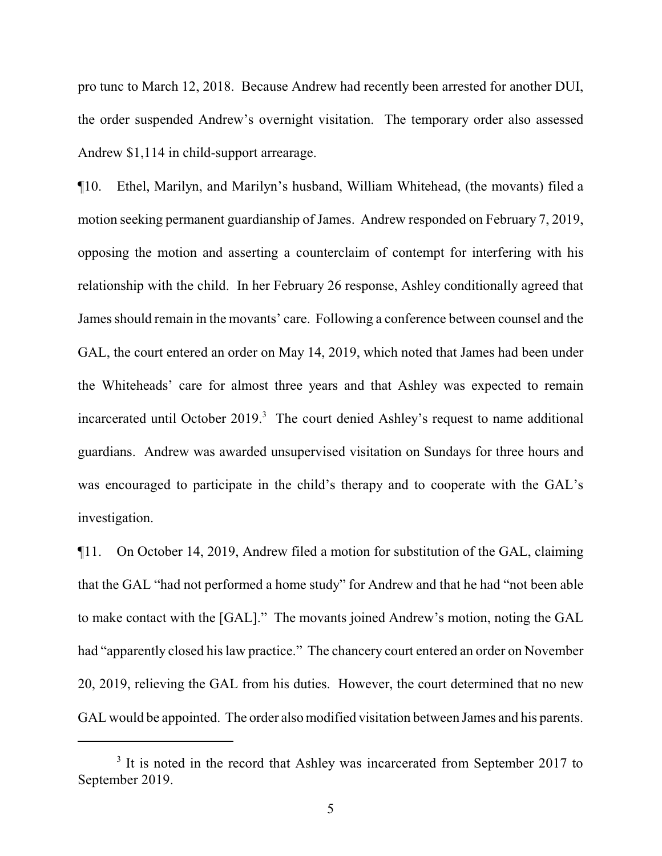pro tunc to March 12, 2018. Because Andrew had recently been arrested for another DUI, the order suspended Andrew's overnight visitation. The temporary order also assessed Andrew \$1,114 in child-support arrearage.

¶10. Ethel, Marilyn, and Marilyn's husband, William Whitehead, (the movants) filed a motion seeking permanent guardianship of James. Andrew responded on February 7, 2019, opposing the motion and asserting a counterclaim of contempt for interfering with his relationship with the child. In her February 26 response, Ashley conditionally agreed that James should remain in the movants' care. Following a conference between counsel and the GAL, the court entered an order on May 14, 2019, which noted that James had been under the Whiteheads' care for almost three years and that Ashley was expected to remain incarcerated until October 2019.<sup>3</sup> The court denied Ashley's request to name additional guardians. Andrew was awarded unsupervised visitation on Sundays for three hours and was encouraged to participate in the child's therapy and to cooperate with the GAL's investigation.

¶11. On October 14, 2019, Andrew filed a motion for substitution of the GAL, claiming that the GAL "had not performed a home study" for Andrew and that he had "not been able to make contact with the [GAL]." The movants joined Andrew's motion, noting the GAL had "apparently closed his law practice." The chancery court entered an order on November 20, 2019, relieving the GAL from his duties. However, the court determined that no new GAL would be appointed. The order also modified visitation between James and his parents.

<sup>&</sup>lt;sup>3</sup> It is noted in the record that Ashley was incarcerated from September 2017 to September 2019.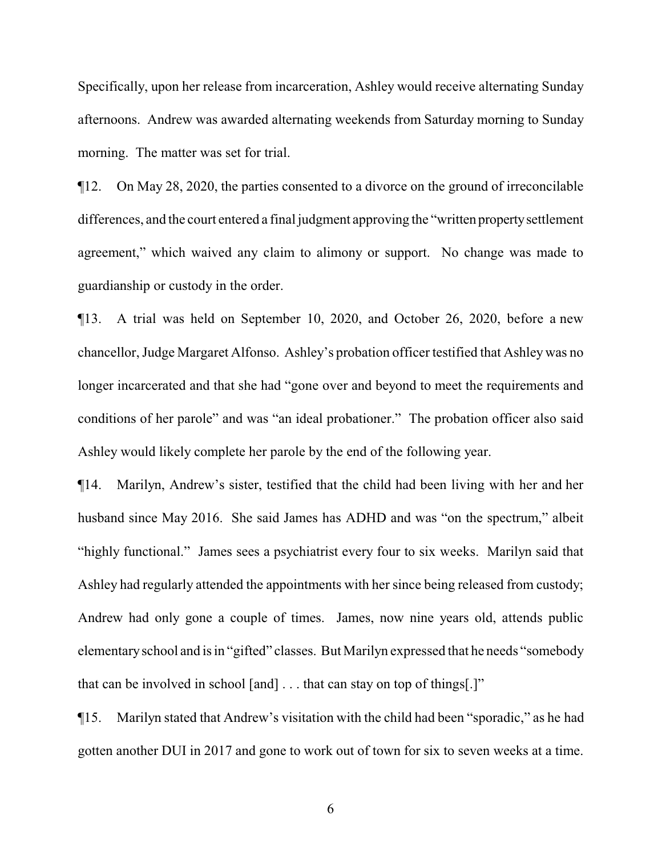Specifically, upon her release from incarceration, Ashley would receive alternating Sunday afternoons. Andrew was awarded alternating weekends from Saturday morning to Sunday morning. The matter was set for trial.

¶12. On May 28, 2020, the parties consented to a divorce on the ground of irreconcilable differences, and the court entered a final judgment approving the "written propertysettlement agreement," which waived any claim to alimony or support. No change was made to guardianship or custody in the order.

¶13. A trial was held on September 10, 2020, and October 26, 2020, before a new chancellor, Judge Margaret Alfonso. Ashley's probation officer testified that Ashley was no longer incarcerated and that she had "gone over and beyond to meet the requirements and conditions of her parole" and was "an ideal probationer." The probation officer also said Ashley would likely complete her parole by the end of the following year.

¶14. Marilyn, Andrew's sister, testified that the child had been living with her and her husband since May 2016. She said James has ADHD and was "on the spectrum," albeit "highly functional." James sees a psychiatrist every four to six weeks. Marilyn said that Ashley had regularly attended the appointments with her since being released from custody; Andrew had only gone a couple of times. James, now nine years old, attends public elementaryschool and is in "gifted" classes. But Marilyn expressed that he needs "somebody that can be involved in school [and] . . . that can stay on top of things[.]"

¶15. Marilyn stated that Andrew's visitation with the child had been "sporadic," as he had gotten another DUI in 2017 and gone to work out of town for six to seven weeks at a time.

6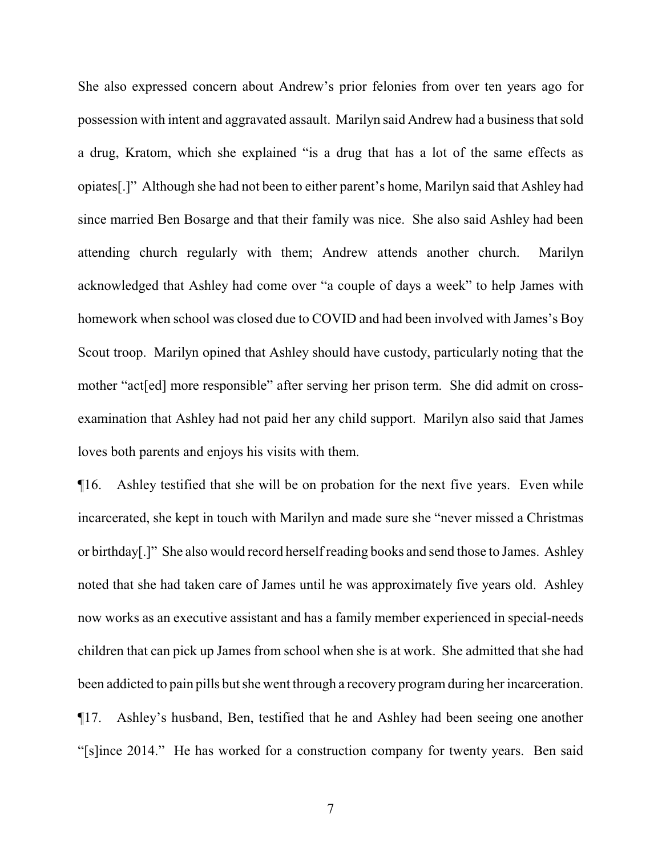She also expressed concern about Andrew's prior felonies from over ten years ago for possession with intent and aggravated assault. Marilyn said Andrew had a business that sold a drug, Kratom, which she explained "is a drug that has a lot of the same effects as opiates[.]" Although she had not been to either parent's home, Marilyn said that Ashley had since married Ben Bosarge and that their family was nice. She also said Ashley had been attending church regularly with them; Andrew attends another church. Marilyn acknowledged that Ashley had come over "a couple of days a week" to help James with homework when school was closed due to COVID and had been involved with James's Boy Scout troop. Marilyn opined that Ashley should have custody, particularly noting that the mother "act[ed] more responsible" after serving her prison term. She did admit on crossexamination that Ashley had not paid her any child support. Marilyn also said that James loves both parents and enjoys his visits with them.

¶16. Ashley testified that she will be on probation for the next five years. Even while incarcerated, she kept in touch with Marilyn and made sure she "never missed a Christmas or birthday[.]" She also would record herself reading books and send those to James. Ashley noted that she had taken care of James until he was approximately five years old. Ashley now works as an executive assistant and has a family member experienced in special-needs children that can pick up James from school when she is at work. She admitted that she had been addicted to pain pills but she went through a recovery program during her incarceration. ¶17. Ashley's husband, Ben, testified that he and Ashley had been seeing one another "[s]ince 2014." He has worked for a construction company for twenty years. Ben said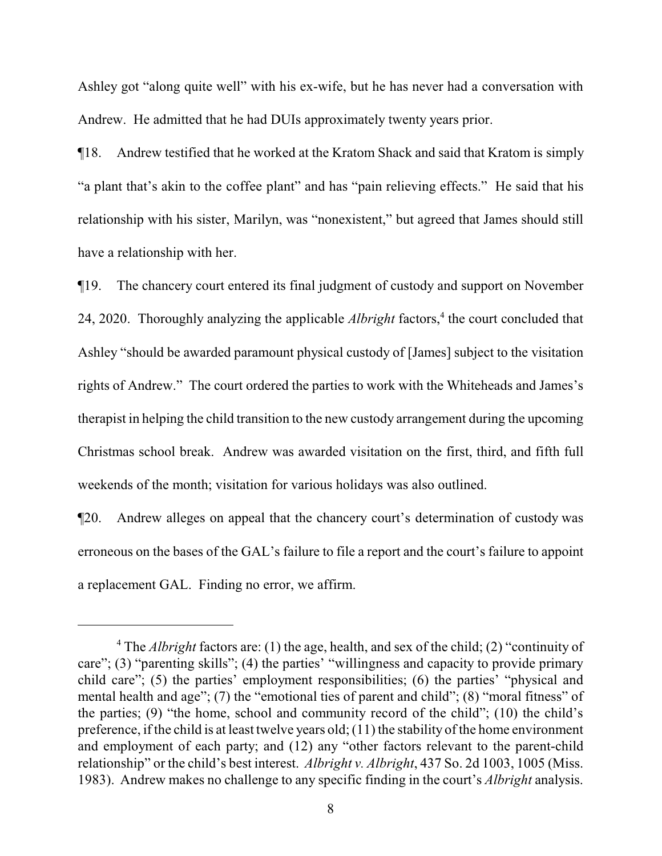Ashley got "along quite well" with his ex-wife, but he has never had a conversation with Andrew. He admitted that he had DUIs approximately twenty years prior.

¶18. Andrew testified that he worked at the Kratom Shack and said that Kratom is simply "a plant that's akin to the coffee plant" and has "pain relieving effects." He said that his relationship with his sister, Marilyn, was "nonexistent," but agreed that James should still have a relationship with her.

¶19. The chancery court entered its final judgment of custody and support on November 24, 2020. Thoroughly analyzing the applicable *Albright* factors,<sup>4</sup> the court concluded that Ashley "should be awarded paramount physical custody of [James] subject to the visitation rights of Andrew." The court ordered the parties to work with the Whiteheads and James's therapist in helping the child transition to the new custody arrangement during the upcoming Christmas school break. Andrew was awarded visitation on the first, third, and fifth full weekends of the month; visitation for various holidays was also outlined.

¶20. Andrew alleges on appeal that the chancery court's determination of custody was erroneous on the bases of the GAL's failure to file a report and the court's failure to appoint a replacement GAL. Finding no error, we affirm.

<sup>4</sup> The *Albright* factors are: (1) the age, health, and sex of the child; (2) "continuity of care"; (3) "parenting skills"; (4) the parties' "willingness and capacity to provide primary child care"; (5) the parties' employment responsibilities; (6) the parties' "physical and mental health and age"; (7) the "emotional ties of parent and child"; (8) "moral fitness" of the parties; (9) "the home, school and community record of the child"; (10) the child's preference, if the child is at least twelve years old; (11) the stability of the home environment and employment of each party; and (12) any "other factors relevant to the parent-child relationship" or the child's best interest. *Albright v. Albright*, 437 So. 2d 1003, 1005 (Miss. 1983). Andrew makes no challenge to any specific finding in the court's *Albright* analysis.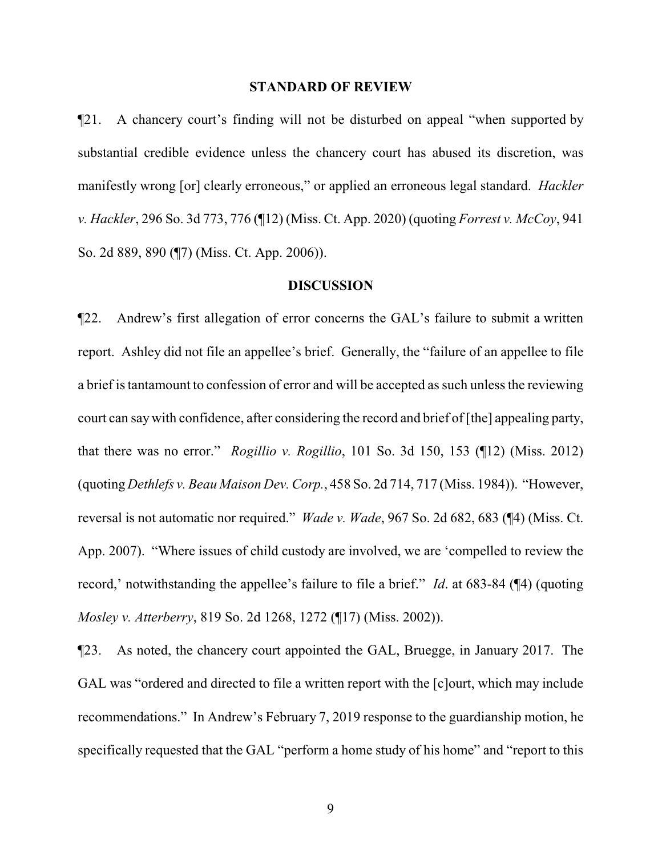#### **STANDARD OF REVIEW**

¶21. A chancery court's finding will not be disturbed on appeal "when supported by substantial credible evidence unless the chancery court has abused its discretion, was manifestly wrong [or] clearly erroneous," or applied an erroneous legal standard. *Hackler v. Hackler*, 296 So. 3d 773, 776 (¶12) (Miss. Ct. App. 2020) (quoting *Forrest v. McCoy*, 941 So. 2d 889, 890 (¶7) (Miss. Ct. App. 2006)).

#### **DISCUSSION**

¶22. Andrew's first allegation of error concerns the GAL's failure to submit a written report. Ashley did not file an appellee's brief. Generally, the "failure of an appellee to file a brief is tantamount to confession of error and will be accepted as such unless the reviewing court can say with confidence, after considering the record and brief of [the] appealing party, that there was no error." *Rogillio v. Rogillio*, 101 So. 3d 150, 153 (¶12) (Miss. 2012) (quoting *Dethlefs v. Beau Maison Dev. Corp.*, 458 So. 2d 714, 717 (Miss. 1984)). "However, reversal is not automatic nor required." *Wade v. Wade*, 967 So. 2d 682, 683 (¶4) (Miss. Ct. App. 2007). "Where issues of child custody are involved, we are 'compelled to review the record,' notwithstanding the appellee's failure to file a brief." *Id*. at 683-84 (¶4) (quoting *Mosley v. Atterberry*, 819 So. 2d 1268, 1272 (¶17) (Miss. 2002)).

¶23. As noted, the chancery court appointed the GAL, Bruegge, in January 2017. The GAL was "ordered and directed to file a written report with the [c]ourt, which may include recommendations." In Andrew's February 7, 2019 response to the guardianship motion, he specifically requested that the GAL "perform a home study of his home" and "report to this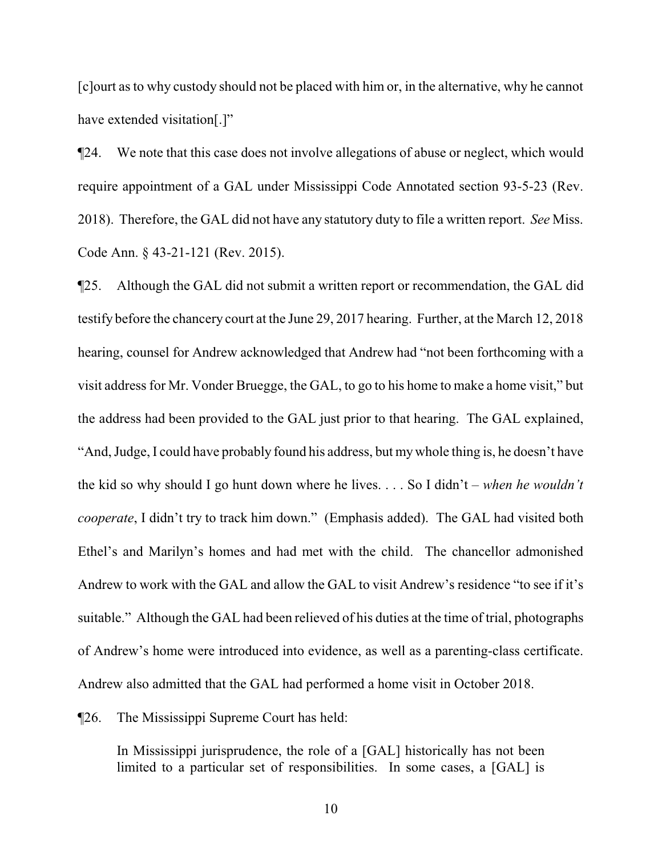[c]ourt as to why custody should not be placed with him or, in the alternative, why he cannot have extended visitation[.]"

¶24. We note that this case does not involve allegations of abuse or neglect, which would require appointment of a GAL under Mississippi Code Annotated section 93-5-23 (Rev. 2018). Therefore, the GAL did not have any statutory duty to file a written report. *See* Miss. Code Ann. § 43-21-121 (Rev. 2015).

¶25. Although the GAL did not submit a written report or recommendation, the GAL did testify before the chancery court at the June 29, 2017 hearing. Further, at the March 12, 2018 hearing, counsel for Andrew acknowledged that Andrew had "not been forthcoming with a visit address for Mr. Vonder Bruegge, the GAL, to go to his home to make a home visit," but the address had been provided to the GAL just prior to that hearing. The GAL explained, "And, Judge, I could have probably found his address, but mywhole thing is, he doesn't have the kid so why should I go hunt down where he lives. . . . So I didn't – *when he wouldn't cooperate*, I didn't try to track him down." (Emphasis added). The GAL had visited both Ethel's and Marilyn's homes and had met with the child. The chancellor admonished Andrew to work with the GAL and allow the GAL to visit Andrew's residence "to see if it's suitable." Although the GAL had been relieved of his duties at the time of trial, photographs of Andrew's home were introduced into evidence, as well as a parenting-class certificate. Andrew also admitted that the GAL had performed a home visit in October 2018.

¶26. The Mississippi Supreme Court has held:

In Mississippi jurisprudence, the role of a [GAL] historically has not been limited to a particular set of responsibilities. In some cases, a [GAL] is